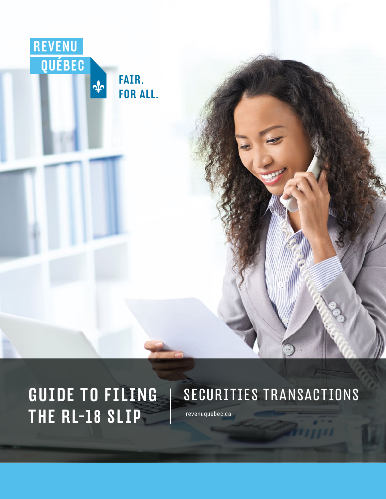

## GUIDE TO FILING THE RL-18 SLIP [revenuquebec.ca](https://www.revenuquebec.ca/en)

## SECURITIES TRANSACTIONS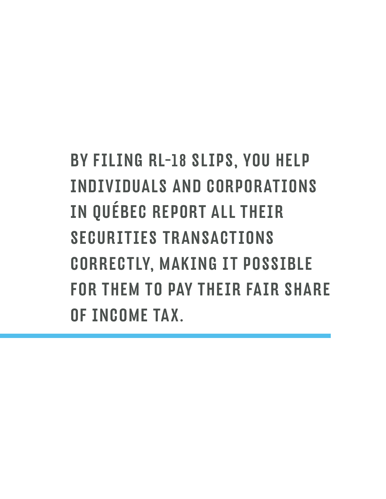BY FILING RL-18 SLIPS, YOU HELP INDIVIDUALS AND CORPORATIONS IN QUÉBEC REPORT ALL THEIR SECURITIES TRANSACTIONS CORRECTLY, MAKING IT POSSIBLE FOR THEM TO PAY THEIR FAIR SHARE OF INCOME TAX.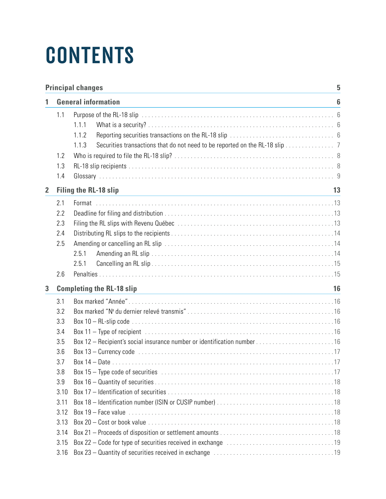# **CONTENTS**

|                | <b>Principal changes</b><br>5 |                                                                                      |  |  |  |
|----------------|-------------------------------|--------------------------------------------------------------------------------------|--|--|--|
|                | <b>General information</b>    |                                                                                      |  |  |  |
|                | 1.1                           |                                                                                      |  |  |  |
|                |                               | 1.1.1                                                                                |  |  |  |
|                |                               | 1.1.2                                                                                |  |  |  |
|                |                               | Securities transactions that do not need to be reported on the RL-18 slip 7<br>1.1.3 |  |  |  |
|                | 1.2                           |                                                                                      |  |  |  |
|                | 1.3                           |                                                                                      |  |  |  |
|                | 1.4                           |                                                                                      |  |  |  |
| $\overline{2}$ |                               | <b>Filing the RL-18 slip</b><br>13                                                   |  |  |  |
|                | 2.1                           |                                                                                      |  |  |  |
|                | 2.2                           |                                                                                      |  |  |  |
|                | 2.3                           |                                                                                      |  |  |  |
|                | 2.4                           |                                                                                      |  |  |  |
|                | 2.5                           |                                                                                      |  |  |  |
|                |                               | 2.5.1                                                                                |  |  |  |
|                |                               | 2.5.1                                                                                |  |  |  |
|                | 2.6                           |                                                                                      |  |  |  |
| 3              |                               | <b>Completing the RL-18 slip</b><br>16                                               |  |  |  |
|                | 3.1                           |                                                                                      |  |  |  |
|                | 3.2                           |                                                                                      |  |  |  |
|                | 3.3                           |                                                                                      |  |  |  |
|                | 3.4                           |                                                                                      |  |  |  |
|                | 3.5                           |                                                                                      |  |  |  |
|                | 3.6                           |                                                                                      |  |  |  |
|                | 3.7                           |                                                                                      |  |  |  |
|                | 3.8                           |                                                                                      |  |  |  |
|                | 3.9                           |                                                                                      |  |  |  |
|                | 3.10                          |                                                                                      |  |  |  |
|                | 3.11                          |                                                                                      |  |  |  |
|                | 3.12                          |                                                                                      |  |  |  |
|                | 3.13                          |                                                                                      |  |  |  |
|                | 3.14                          |                                                                                      |  |  |  |
|                | 3.15                          |                                                                                      |  |  |  |
|                | 3.16                          | Box 23 - Quantity of securities received in exchange manufactured contained as $19$  |  |  |  |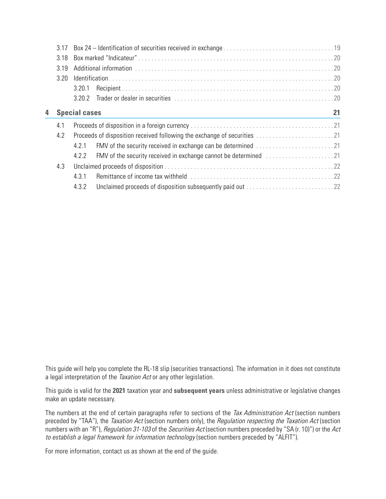|                           | 3.17 |        |                                                                                                  |  |  |
|---------------------------|------|--------|--------------------------------------------------------------------------------------------------|--|--|
|                           | 3.18 |        |                                                                                                  |  |  |
|                           | 3.19 |        |                                                                                                  |  |  |
|                           | 3.20 |        |                                                                                                  |  |  |
|                           |      | 3.20.1 |                                                                                                  |  |  |
|                           |      | 3.20.2 |                                                                                                  |  |  |
| 4<br><b>Special cases</b> |      |        | 21                                                                                               |  |  |
|                           | 4.1  |        |                                                                                                  |  |  |
|                           | 4.2  |        |                                                                                                  |  |  |
|                           |      | 4.2.1  |                                                                                                  |  |  |
|                           |      | 4.2.2  | FMV of the security received in exchange cannot be determined [1, 1, 1, 1, 1, 1, 1, 1, 1, 1, 21] |  |  |
|                           | 4.3  |        |                                                                                                  |  |  |
|                           |      | 4.3.1  |                                                                                                  |  |  |
|                           |      | 4.3.2  |                                                                                                  |  |  |

This guide will help you complete the RL-18 slip (securities transactions). The information in it does not constitute a legal interpretation of the *Taxation Act* or any other legislation.

This guide is valid for the **2021** taxation year and **subsequent years** unless administrative or legislative changes make an update necessary.

The numbers at the end of certain paragraphs refer to sections of the Tax Administration Act (section numbers preceded by "TAA"), the Taxation Act (section numbers only), the Regulation respecting the Taxation Act (section numbers with an "R"), Regulation 31-103 of the Securities Act (section numbers preceded by "SA (r. 10)") or the Act to establish a legal framework for information technology (section numbers preceded by "ALFIT").

For more information, contact us as shown at the end of the guide.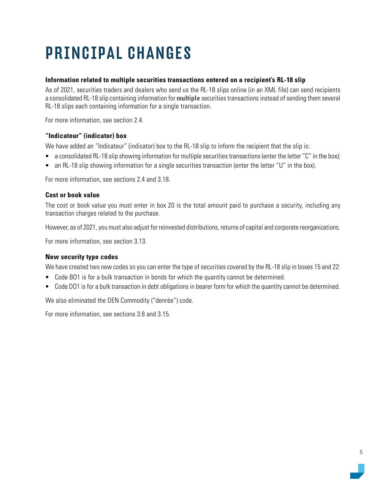## <span id="page-4-0"></span>PRINCIPAL CHANGES

#### **Information related to multiple securities transactions entered on a recipient's RL-18 slip**

As of 2021, securities traders and dealers who send us the RL-18 slips online (in an XML file) can send recipients a consolidated RL-18 slip containing information for **multiple** securities transactions instead of sending them several RL-18 slips each containing information for a single transaction.

For more information, see section 2.4.

#### **"Indicateur" (indicator) box**

We have added an "Indicateur" (indicator) box to the RL-18 slip to inform the recipient that the slip is:

- a consolidated RL-18 slip showing information for multiple securities transactions (enter the letter "C" in the box);
- an RL-18 slip showing information for a single securities transaction (enter the letter "U" in the box).

For more information, see sections 2.4 and 3.18.

#### **Cost or book value**

The cost or book value you must enter in box 20 is the total amount paid to purchase a security, including any transaction charges related to the purchase.

However, as of 2021, you must also adjust for reinvested distributions, returns of capital and corporate reorganizations.

For more information, see section 3.13.

#### **New security type codes**

We have created two new codes so you can enter the type of securities covered by the RL-18 slip in boxes 15 and 22:

- Code BO1 is for a bulk transaction in bonds for which the quantity cannot be determined.
- Code DO1 is for a bulk transaction in debt obligations in bearer form for which the quantity cannot be determined.

We also eliminated the DEN Commodity ("denrée") code.

For more information, see sections 3.8 and 3.15.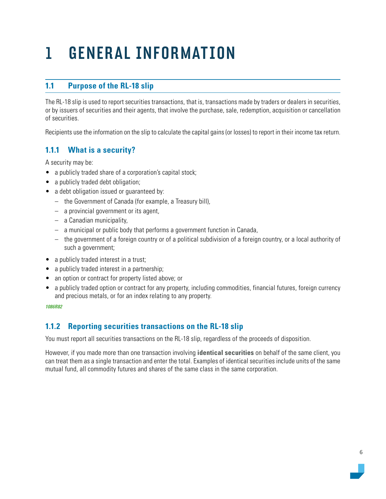## <span id="page-5-0"></span>1 GENERAL INFORMATION

## **1.1 Purpose of the RL-18 slip**

The RL-18 slip is used to report securities transactions, that is, transactions made by traders or dealers in securities, or by issuers of securities and their agents, that involve the purchase, sale, redemption, acquisition or cancellation of securities.

Recipients use the information on the slip to calculate the capital gains (or losses) to report in their income tax return.

## **1.1.1 What is a security?**

A security may be:

- a publicly traded share of a corporation's capital stock;
- a publicly traded debt obligation;
- a debt obligation issued or guaranteed by:
	- the Government of Canada (for example, a Treasury bill),
	- a provincial government or its agent,
	- a Canadian municipality,
	- a municipal or public body that performs a government function in Canada,
	- the government of a foreign country or of a political subdivision of a foreign country, or a local authority of such a government;
- a publicly traded interest in a trust;
- a publicly traded interest in a partnership;
- an option or contract for property listed above; or
- a publicly traded option or contract for any property, including commodities, financial futures, foreign currency and precious metals, or for an index relating to any property.

*1086R82*

## **1.1.2 Reporting securities transactions on the RL-18 slip**

You must report all securities transactions on the RL-18 slip, regardless of the proceeds of disposition.

However, if you made more than one transaction involving **identical securities** on behalf of the same client, you can treat them as a single transaction and enter the total. Examples of identical securities include units of the same mutual fund, all commodity futures and shares of the same class in the same corporation.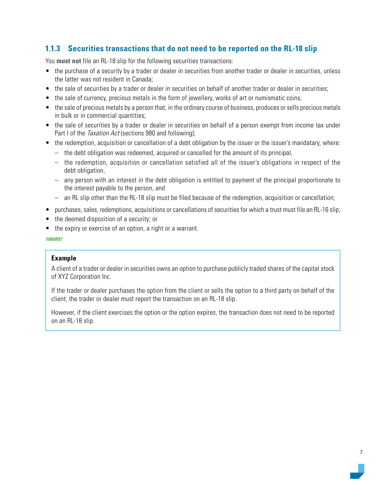## <span id="page-6-0"></span>**1.1.3 Securities transactions that do not need to be reported on the RL-18 slip**

You **must not** file an RL-18 slip for the following securities transactions:

- the purchase of a security by a trader or dealer in securities from another trader or dealer in securities, unless the latter was not resident in Canada;
- the sale of securities by a trader or dealer in securities on behalf of another trader or dealer in securities;
- the sale of currency, precious metals in the form of jewellery, works of art or numismatic coins;
- the sale of precious metals by a person that, in the ordinary course of business, produces or sells precious metals in bulk or in commercial quantities;
- the sale of securities by a trader or dealer in securities on behalf of a person exempt from income tax under Part I of the *Taxation Act* (sections 980 and following);
- the redemption, acquisition or cancellation of a debt obligation by the issuer or the issuer's mandatary, where:
	- the debt obligation was redeemed, acquired or cancelled for the amount of its principal,
	- the redemption, acquisition or cancellation satisfied all of the issuer's obligations in respect of the debt obligation.
	- any person with an interest in the debt obligation is entitled to payment of the principal proportionate to the interest payable to the person, and
	- an RL slip other than the RL-18 slip must be filed because of the redemption, acquisition or cancellation;
- purchases, sales, redemptions, acquisitions or cancellations of securities for which a trust must file an RL-16 slip;
- the deemed disposition of a security; or
- the expiry or exercise of an option, a right or a warrant.

#### *1086R87*

#### **Example**

A client of a trader or dealer in securities owns an option to purchase publicly traded shares of the capital stock of XYZ Corporation Inc.

If the trader or dealer purchases the option from the client or sells the option to a third party on behalf of the client, the trader or dealer must report the transaction on an RL-18 slip.

However, if the client exercises the option or the option expires, the transaction does not need to be reported on an RL-18 slip.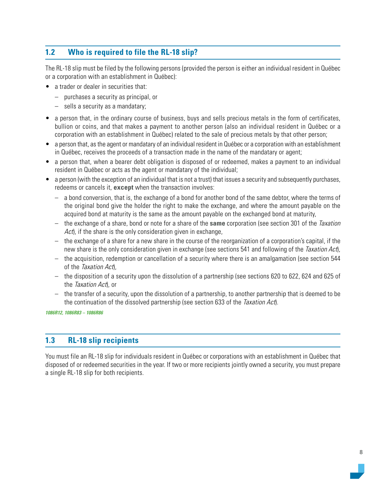## <span id="page-7-0"></span>**1.2 Who is required to file the RL-18 slip?**

The RL-18 slip must be filed by the following persons (provided the person is either an individual resident in Québec or a corporation with an establishment in Québec):

- a trader or dealer in securities that:
	- purchases a security as principal, or
	- sells a security as a mandatary;
- a person that, in the ordinary course of business, buys and sells precious metals in the form of certificates, bullion or coins, and that makes a payment to another person (also an individual resident in Québec or a corporation with an establishment in Québec) related to the sale of precious metals by that other person;
- a person that, as the agent or mandatary of an individual resident in Québec or a corporation with an establishment in Québec, receives the proceeds of a transaction made in the name of the mandatary or agent;
- a person that, when a bearer debt obligation is disposed of or redeemed, makes a payment to an individual resident in Québec or acts as the agent or mandatary of the individual;
- a person (with the exception of an individual that is not a trust) that issues a security and subsequently purchases, redeems or cancels it, **except** when the transaction involves:
	- a bond conversion, that is, the exchange of a bond for another bond of the same debtor, where the terms of the original bond give the holder the right to make the exchange, and where the amount payable on the acquired bond at maturity is the same as the amount payable on the exchanged bond at maturity,
	- the exchange of a share, bond or note for a share of the **same** corporation (see section 301 of the Taxation Act), if the share is the only consideration given in exchange,
	- the exchange of a share for a new share in the course of the reorganization of a corporation's capital, if the new share is the only consideration given in exchange (see sections 541 and following of the Taxation Act),
	- the acquisition, redemption or cancellation of a security where there is an amalgamation (see section 544 of the Taxation Act),
	- the disposition of a security upon the dissolution of a partnership (see sections 620 to 622, 624 and 625 of the Taxation Act), or
	- the transfer of a security, upon the dissolution of a partnership, to another partnership that is deemed to be the continuation of the dissolved partnership (see section 633 of the Taxation Act).

*1086R12, 1086R83 – 1086R86*

## **1.3 RL-18 slip recipients**

You must file an RL-18 slip for individuals resident in Québec or corporations with an establishment in Québec that disposed of or redeemed securities in the year. If two or more recipients jointly owned a security, you must prepare a single RL-18 slip for both recipients.

8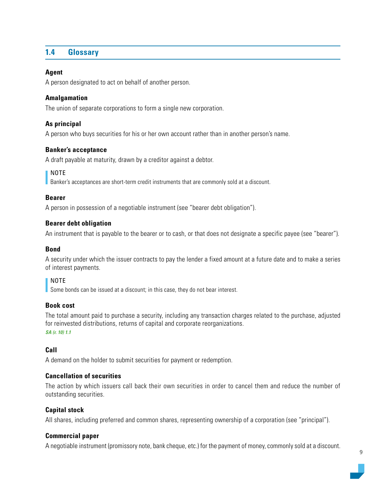## <span id="page-8-0"></span>**1.4 Glossary**

#### **Agent**

A person designated to act on behalf of another person.

#### **Amalgamation**

The union of separate corporations to form a single new corporation.

#### **As principal**

A person who buys securities for his or her own account rather than in another person's name.

#### **Banker's acceptance**

A draft payable at maturity, drawn by a creditor against a debtor.

#### NOTE

Banker's acceptances are short-term credit instruments that are commonly sold at a discount.

#### **Bearer**

A person in possession of a negotiable instrument (see "bearer debt obligation").

#### **Bearer debt obligation**

An instrument that is payable to the bearer or to cash, or that does not designate a specific payee (see "bearer").

#### **Bond**

A security under which the issuer contracts to pay the lender a fixed amount at a future date and to make a series of interest payments.

### NOTE

Some bonds can be issued at a discount; in this case, they do not bear interest.

#### **Book cost**

The total amount paid to purchase a security, including any transaction charges related to the purchase, adjusted for reinvested distributions, returns of capital and corporate reorganizations. *SA (r. 10) 1.1*

#### **Call**

A demand on the holder to submit securities for payment or redemption.

#### **Cancellation of securities**

The action by which issuers call back their own securities in order to cancel them and reduce the number of outstanding securities.

#### **Capital stock**

All shares, including preferred and common shares, representing ownership of a corporation (see "principal").

#### **Commercial paper**

A negotiable instrument (promissory note, bank cheque, etc.) for the payment of money, commonly sold at a discount.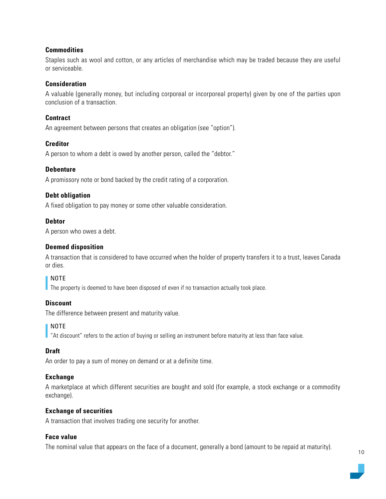#### **Commodities**

Staples such as wool and cotton, or any articles of merchandise which may be traded because they are useful or serviceable.

#### **Consideration**

A valuable (generally money, but including corporeal or incorporeal property) given by one of the parties upon conclusion of a transaction.

#### **Contract**

An agreement between persons that creates an obligation (see "option").

#### **Creditor**

A person to whom a debt is owed by another person, called the "debtor."

#### **Debenture**

A promissory note or bond backed by the credit rating of a corporation.

#### **Debt obligation**

A fixed obligation to pay money or some other valuable consideration.

#### **Debtor**

A person who owes a debt.

#### **Deemed disposition**

A transaction that is considered to have occurred when the holder of property transfers it to a trust, leaves Canada or dies.

#### NOTE

The property is deemed to have been disposed of even if no transaction actually took place.

#### **Discount**

The difference between present and maturity value.

#### NOTE

"At discount" refers to the action of buying or selling an instrument before maturity at less than face value.

#### **Draft**

An order to pay a sum of money on demand or at a definite time.

#### **Exchange**

A marketplace at which different securities are bought and sold (for example, a stock exchange or a commodity exchange).

#### **Exchange of securities**

A transaction that involves trading one security for another.

#### **Face value**

The nominal value that appears on the face of a document, generally a bond (amount to be repaid at maturity).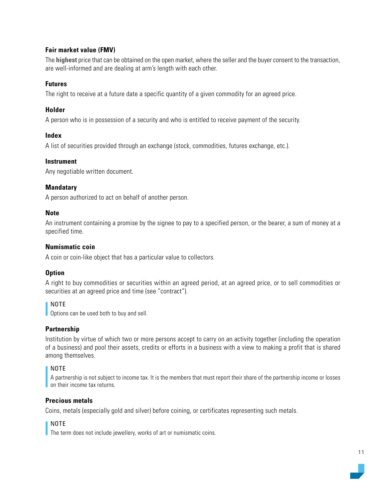#### **Fair market value (FMV)**

The **highest** price that can be obtained on the open market, where the seller and the buyer consent to the transaction, are well-informed and are dealing at arm's length with each other.

#### **Futures**

The right to receive at a future date a specific quantity of a given commodity for an agreed price.

#### **Holder**

A person who is in possession of a security and who is entitled to receive payment of the security.

#### **Index**

A list of securities provided through an exchange (stock, commodities, futures exchange, etc.).

#### **Instrument**

Any negotiable written document.

#### **Mandatary**

A person authorized to act on behalf of another person.

#### **Note**

An instrument containing a promise by the signee to pay to a specified person, or the bearer, a sum of money at a specified time.

#### **Numismatic coin**

A coin or coin-like object that has a particular value to collectors.

#### **Option**

A right to buy commodities or securities within an agreed period, at an agreed price, or to sell commodities or securities at an agreed price and time (see "contract").

#### NOTE

Options can be used both to buy and sell.

#### **Partnership**

Institution by virtue of which two or more persons accept to carry on an activity together (including the operation of a business) and pool their assets, credits or efforts in a business with a view to making a profit that is shared among themselves.

#### NOTE

A partnership is not subject to income tax. It is the members that must report their share of the partnership income or losses on their income tax returns.

#### **Precious metals**

Coins, metals (especially gold and silver) before coining, or certificates representing such metals.

#### NOTE

The term does not include jewellery, works of art or numismatic coins.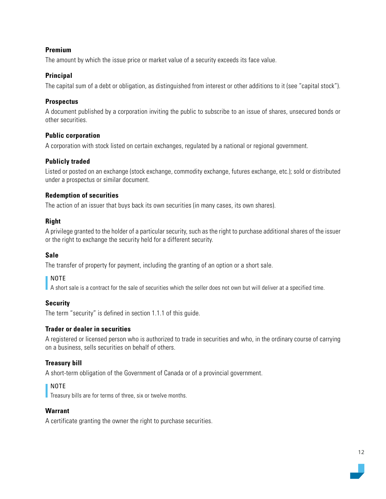#### **Premium**

The amount by which the issue price or market value of a security exceeds its face value.

#### **Principal**

The capital sum of a debt or obligation, as distinguished from interest or other additions to it (see "capital stock").

#### **Prospectus**

A document published by a corporation inviting the public to subscribe to an issue of shares, unsecured bonds or other securities.

#### **Public corporation**

A corporation with stock listed on certain exchanges, regulated by a national or regional government.

#### **Publicly traded**

Listed or posted on an exchange (stock exchange, commodity exchange, futures exchange, etc.); sold or distributed under a prospectus or similar document.

#### **Redemption of securities**

The action of an issuer that buys back its own securities (in many cases, its own shares).

#### **Right**

A privilege granted to the holder of a particular security, such as the right to purchase additional shares of the issuer or the right to exchange the security held for a different security.

#### **Sale**

The transfer of property for payment, including the granting of an option or a short sale.

#### NOTE

A short sale is a contract for the sale of securities which the seller does not own but will deliver at a specified time.

#### **Security**

The term "security" is defined in section 1.1.1 of this guide.

#### **Trader or dealer in securities**

A registered or licensed person who is authorized to trade in securities and who, in the ordinary course of carrying on a business, sells securities on behalf of others.

## **Treasury bill**

A short-term obligation of the Government of Canada or of a provincial government.

## NOTE

**Treasury bills are for terms of three, six or twelve months.** 

#### **Warrant**

A certificate granting the owner the right to purchase securities.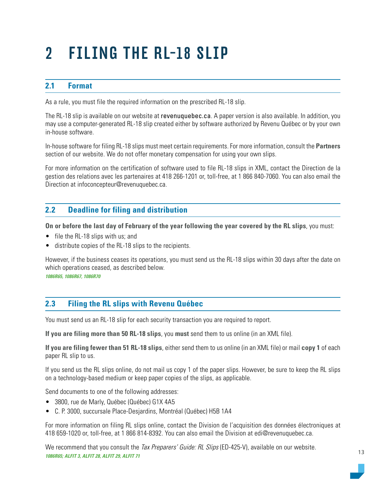## <span id="page-12-0"></span>2 FILING THE RL-18 SLIP

## **2.1 Format**

As a rule, you must file the required information on the prescribed RL-18 slip.

The RL-18 slip is available on our website at [revenuquebec.ca](https://www.revenuquebec.ca/en). A paper version is also available. In addition, you may use a computer-generated RL-18 slip created either by software authorized by Revenu Québec or by your own in-house software.

In-house software for filing RL-18 slips must meet certain requirements. For more information, consult the **Partners**  section of our website. We do not offer monetary compensation for using your own slips.

For more information on the certification of software used to file RL-18 slips in XML, contact the Direction de la gestion des relations avec les partenaires at 418 266-1201 or, toll-free, at 1 866 840-7060. You can also email the Direction at [infoconcepteur@revenuquebec.ca.](mailto:infoconcepteur%40revenuquebec.ca?subject=)

## **2.2 Deadline for filing and distribution**

**On or before the last day of February of the year following the year covered by the RL slips**, you must:

- file the RL-18 slips with us; and
- distribute copies of the RL-18 slips to the recipients.

However, if the business ceases its operations, you must send us the RL-18 slips within 30 days after the date on which operations ceased, as described below. *1086R65, 1086R67, 1086R70*

## **2.3 Filing the RL slips with Revenu Québec**

You must send us an RL-18 slip for each security transaction you are required to report.

**If you are filing more than 50 RL-18 slips**, you **must** send them to us online (in an XML file).

**If you are filing fewer than 51 RL-18 slips**, either send them to us online (in an XML file) or mail **copy 1** of each paper RL slip to us.

If you send us the RL slips online, do not mail us copy 1 of the paper slips. However, be sure to keep the RL slips on a technology-based medium or keep paper copies of the slips, as applicable.

Send documents to one of the following addresses:

- 3800, rue de Marly, Québec (Québec) G1X 4A5
- C. P. 3000, succursale Place-Desjardins, Montréal (Québec) H5B 1A4

For more information on filing RL slips online, contact the Division de l'acquisition des données électroniques at 418 659-1020 or, toll-free, at 1 866 814-8392. You can also email the Division at edi@revenuquebec.ca.

We recommend that you consult the Tax Preparers' Guide: RL Slips (ED-425-V), available on our website. *1086R65; ALFIT 3, ALFIT 28, ALFIT 29, ALFIT 71*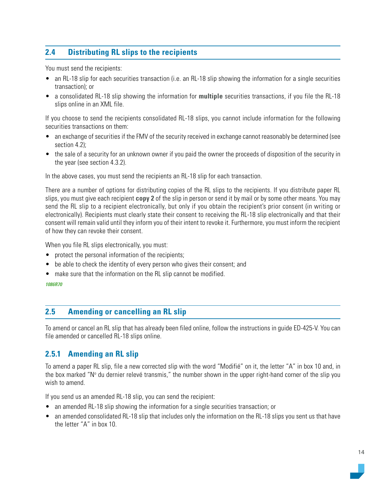## <span id="page-13-0"></span>**2.4 Distributing RL slips to the recipients**

You must send the recipients:

- an RL-18 slip for each securities transaction (i.e. an RL-18 slip showing the information for a single securities transaction); or
- a consolidated RL-18 slip showing the information for **multiple** securities transactions, if you file the RL-18 slips online in an XML file.

If you choose to send the recipients consolidated RL-18 slips, you cannot include information for the following securities transactions on them:

- an exchange of securities if the FMV of the security received in exchange cannot reasonably be determined (see section 4.2);
- the sale of a security for an unknown owner if you paid the owner the proceeds of disposition of the security in the year (see section 4.3.2).

In the above cases, you must send the recipients an RL-18 slip for each transaction.

There are a number of options for distributing copies of the RL slips to the recipients. If you distribute paper RL slips, you must give each recipient **copy 2** of the slip in person or send it by mail or by some other means. You may send the RL slip to a recipient electronically, but only if you obtain the recipient's prior consent (in writing or electronically). Recipients must clearly state their consent to receiving the RL-18 slip electronically and that their consent will remain valid until they inform you of their intent to revoke it. Furthermore, you must inform the recipient of how they can revoke their consent.

When you file RL slips electronically, you must:

- protect the personal information of the recipients;
- be able to check the identity of every person who gives their consent; and
- make sure that the information on the RL slip cannot be modified.

*1086R70*

## **2.5 Amending or cancelling an RL slip**

To amend or cancel an RL slip that has already been filed online, follow the instructions in guide ED-425-V. You can file amended or cancelled RL-18 slips online.

## **2.5.1 Amending an RL slip**

To amend a paper RL slip, file a new corrected slip with the word "Modifié" on it, the letter "A" in box 10 and, in the box marked "N° du dernier relevé transmis," the number shown in the upper right-hand corner of the slip you wish to amend.

If you send us an amended RL-18 slip, you can send the recipient:

- an amended RL-18 slip showing the information for a single securities transaction; or
- an amended consolidated RL-18 slip that includes only the information on the RL-18 slips you sent us that have the letter "A" in box 10.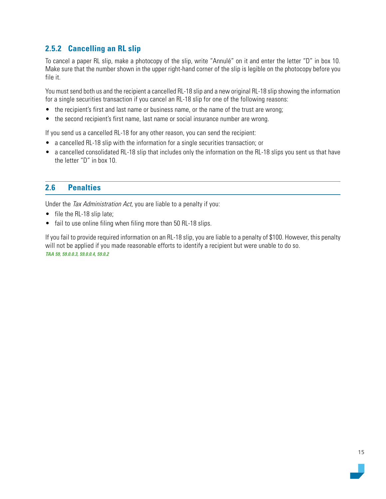## <span id="page-14-0"></span>**2.5.2 Cancelling an RL slip**

To cancel a paper RL slip, make a photocopy of the slip, write "Annulé" on it and enter the letter "D" in box 10. Make sure that the number shown in the upper right-hand corner of the slip is legible on the photocopy before you file it.

You must send both us and the recipient a cancelled RL-18 slip and a new original RL-18 slip showing the information for a single securities transaction if you cancel an RL-18 slip for one of the following reasons:

- the recipient's first and last name or business name, or the name of the trust are wrong;
- the second recipient's first name, last name or social insurance number are wrong.

If you send us a cancelled RL-18 for any other reason, you can send the recipient:

- a cancelled RL-18 slip with the information for a single securities transaction; or
- a cancelled consolidated RL-18 slip that includes only the information on the RL-18 slips you sent us that have the letter "D" in box 10.

## **2.6 Penalties**

Under the Tax Administration Act, you are liable to a penalty if you:

- file the RL-18 slip late;
- fail to use online filing when filing more than 50 RL-18 slips.

If you fail to provide required information on an RL-18 slip, you are liable to a penalty of \$100. However, this penalty will not be applied if you made reasonable efforts to identify a recipient but were unable to do so. *TAA 59, 59.0.0.3, 59.0.0.4, 59.0.2*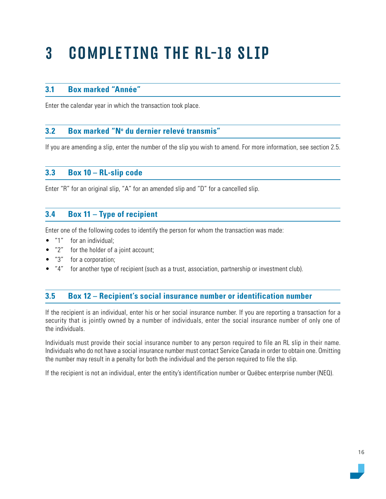## <span id="page-15-0"></span>3 COMPLETING THE RL-18 SLIP

## **3.1 Box marked "Année"**

Enter the calendar year in which the transaction took place.

## **3.2 Box marked "No du dernier relevé transmis"**

If you are amending a slip, enter the number of the slip you wish to amend. For more information, see section 2.5.

## **3.3 Box 10 – RL-slip code**

Enter "R" for an original slip, "A" for an amended slip and "D" for a cancelled slip.

## **3.4 Box 11 – Type of recipient**

Enter one of the following codes to identify the person for whom the transaction was made:

- "1" for an individual;
- "2" for the holder of a joint account;
- "3" for a corporation;
- "4" for another type of recipient (such as a trust, association, partnership or investment club).

## **3.5 Box 12 – Recipient's social insurance number or identification number**

If the recipient is an individual, enter his or her social insurance number. If you are reporting a transaction for a security that is jointly owned by a number of individuals, enter the social insurance number of only one of the individuals.

Individuals must provide their social insurance number to any person required to file an RL slip in their name. Individuals who do not have a social insurance number must contact Service Canada in order to obtain one. Omitting the number may result in a penalty for both the individual and the person required to file the slip.

If the recipient is not an individual, enter the entity's identification number or Québec enterprise number (NEQ).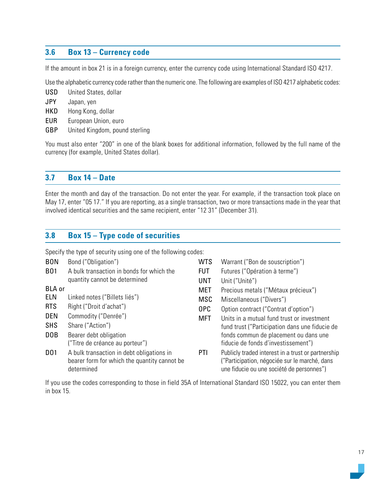## <span id="page-16-0"></span>**3.6 Box 13 – Currency code**

If the amount in box 21 is in a foreign currency, enter the currency code using International Standard ISO 4217.

Use the alphabetic currency code rather than the numeric one. The following are examples of ISO 4217 alphabetic codes:

- USD United States, dollar
- JPY Japan, yen
- HKD Hong Kong, dollar
- EUR European Union, euro
- GBP United Kingdom, pound sterling

You must also enter "200" in one of the blank boxes for additional information, followed by the full name of the currency (for example, United States dollar).

### **3.7 Box 14 – Date**

Enter the month and day of the transaction. Do not enter the year. For example, if the transaction took place on May 17, enter "05 17." If you are reporting, as a single transaction, two or more transactions made in the year that involved identical securities and the same recipient, enter "12 31" (December 31).

## **3.8 Box 15 – Type code of securities**

Specify the type of security using one of the following codes:

| <b>BON</b>       | Bond ("Obligation")                                                                                     | <b>WTS</b>      | Warrant ("Bon de souscription")                                                                                                                  |
|------------------|---------------------------------------------------------------------------------------------------------|-----------------|--------------------------------------------------------------------------------------------------------------------------------------------------|
| <b>B01</b>       | A bulk transaction in bonds for which the                                                               | <b>FUT</b>      | Futures ("Opération à terme")                                                                                                                    |
|                  | quantity cannot be determined                                                                           | <b>UNT</b>      | Unit ("Unité")                                                                                                                                   |
| <b>BLA</b> or    |                                                                                                         | <b>MET</b>      | Precious metals ("Métaux précieux")                                                                                                              |
| <b>ELN</b>       | Linked notes ("Billets liés")                                                                           | <b>MSC</b>      | Miscellaneous ("Divers")                                                                                                                         |
| <b>RTS</b>       | Right ("Droit d'achat")                                                                                 | 0 <sub>PC</sub> | Option contract ("Contrat d'option")                                                                                                             |
| <b>DEN</b>       | Commodity ("Denrée")                                                                                    | <b>MFT</b>      | Units in a mutual fund trust or investment                                                                                                       |
| <b>SHS</b>       | Share ("Action")                                                                                        |                 | fund trust ("Participation dans une fiducie de                                                                                                   |
| D <sub>O</sub> B | Bearer debt obligation                                                                                  |                 | fonds commun de placement ou dans une                                                                                                            |
|                  | ("Titre de créance au porteur")                                                                         |                 | fiducie de fonds d'investissement")                                                                                                              |
| <b>DO1</b>       | A bulk transaction in debt obligations in<br>bearer form for which the quantity cannot be<br>determined | PTI             | Publicly traded interest in a trust or partnership<br>("Participation, négociée sur le marché, dans<br>une fiducie ou une société de personnes") |

If you use the codes corresponding to those in field 35A of International Standard ISO 15022, you can enter them in box 15.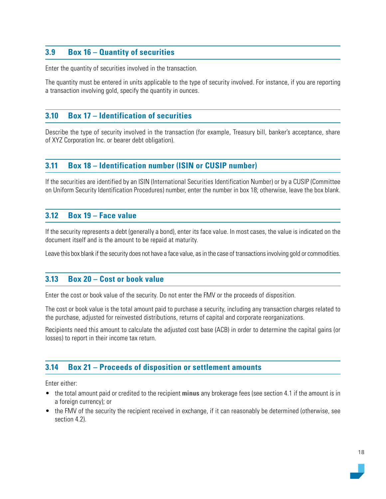## <span id="page-17-0"></span>**3.9 Box 16 – Quantity of securities**

Enter the quantity of securities involved in the transaction.

The quantity must be entered in units applicable to the type of security involved. For instance, if you are reporting a transaction involving gold, specify the quantity in ounces.

## **3.10 Box 17 – Identification of securities**

Describe the type of security involved in the transaction (for example, Treasury bill, banker's acceptance, share of XYZ Corporation Inc. or bearer debt obligation).

## **3.11 Box 18 – Identification number (ISIN or CUSIP number)**

If the securities are identified by an ISIN (International Securities Identification Number) or by a CUSIP (Committee on Uniform Security Identification Procedures) number, enter the number in box 18; otherwise, leave the box blank.

#### **3.12 Box 19 – Face value**

If the security represents a debt (generally a bond), enter its face value. In most cases, the value is indicated on the document itself and is the amount to be repaid at maturity.

Leave this box blank if the security does not have a face value, as in the case of transactions involving gold or commodities.

## **3.13 Box 20 – Cost or book value**

Enter the cost or book value of the security. Do not enter the FMV or the proceeds of disposition.

The cost or book value is the total amount paid to purchase a security, including any transaction charges related to the purchase, adjusted for reinvested distributions, returns of capital and corporate reorganizations.

Recipients need this amount to calculate the adjusted cost base (ACB) in order to determine the capital gains (or losses) to report in their income tax return.

#### **3.14 Box 21 – Proceeds of disposition or settlement amounts**

Enter either:

- the total amount paid or credited to the recipient **minus** any brokerage fees (see section 4.1 if the amount is in a foreign currency); or
- the FMV of the security the recipient received in exchange, if it can reasonably be determined (otherwise, see section 4.2).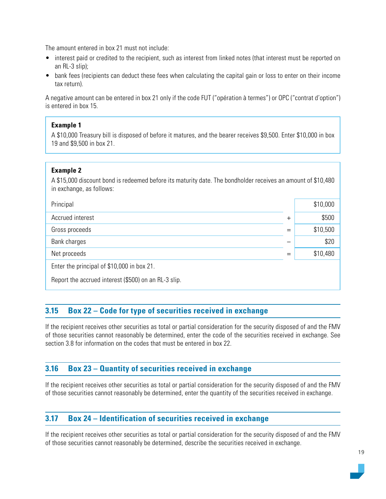<span id="page-18-0"></span>The amount entered in box 21 must not include:

- interest paid or credited to the recipient, such as interest from linked notes (that interest must be reported on an RL-3 slip);
- bank fees (recipients can deduct these fees when calculating the capital gain or loss to enter on their income tax return).

A negative amount can be entered in box 21 only if the code FUT ("opération à termes") or OPC ("contrat d'option") is entered in box 15.

#### **Example 1**

A \$10,000 Treasury bill is disposed of before it matures, and the bearer receives \$9,500. Enter \$10,000 in box 19 and \$9,500 in box 21.

#### **Example 2**

A \$15,000 discount bond is redeemed before its maturity date. The bondholder receives an amount of \$10,480 in exchange, as follows:

| Principal                                            |        | \$10,000 |  |
|------------------------------------------------------|--------|----------|--|
| Accrued interest                                     | $^{+}$ | \$500    |  |
| Gross proceeds                                       |        | \$10,500 |  |
| Bank charges                                         |        | \$20     |  |
| Net proceeds                                         |        | \$10,480 |  |
| Enter the principal of \$10,000 in box 21.           |        |          |  |
| Report the accrued interest (\$500) on an RL-3 slip. |        |          |  |

## **3.15 Box 22 – Code for type of securities received in exchange**

If the recipient receives other securities as total or partial consideration for the security disposed of and the FMV of those securities cannot reasonably be determined, enter the code of the securities received in exchange. See section 3.8 for information on the codes that must be entered in box 22.

## **3.16 Box 23 – Quantity of securities received in exchange**

If the recipient receives other securities as total or partial consideration for the security disposed of and the FMV of those securities cannot reasonably be determined, enter the quantity of the securities received in exchange.

## **3.17 Box 24 – Identification of securities received in exchange**

If the recipient receives other securities as total or partial consideration for the security disposed of and the FMV of those securities cannot reasonably be determined, describe the securities received in exchange.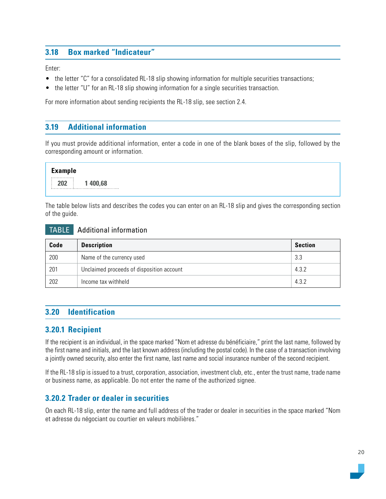## <span id="page-19-0"></span>**3.18 Box marked "Indicateur"**

Enter:

- the letter "C" for a consolidated RL-18 slip showing information for multiple securities transactions;
- the letter "U" for an RL-18 slip showing information for a single securities transaction.

For more information about sending recipients the RL-18 slip, see section 2.4.

## **3.19 Additional information**

If you must provide additional information, enter a code in one of the blank boxes of the slip, followed by the corresponding amount or information.

**Example 202 1 400,68**

The table below lists and describes the codes you can enter on an RL-18 slip and gives the corresponding section of the guide.

#### TABLE Additional information

| Code | <b>Description</b>                        |       |
|------|-------------------------------------------|-------|
| 200  | Name of the currency used                 | 3.3   |
| 201  | Unclaimed proceeds of disposition account | 4.3.2 |
| 202  | Income tax withheld                       | 4.3.2 |

## **3.20 Identification**

## **3.20.1 Recipient**

If the recipient is an individual, in the space marked "Nom et adresse du bénéficiaire," print the last name, followed by the first name and initials, and the last known address (including the postal code). In the case of a transaction involving a jointly owned security, also enter the first name, last name and social insurance number of the second recipient.

If the RL-18 slip is issued to a trust, corporation, association, investment club, etc., enter the trust name, trade name or business name, as applicable. Do not enter the name of the authorized signee.

## **3.20.2 Trader or dealer in securities**

On each RL-18 slip, enter the name and full address of the trader or dealer in securities in the space marked "Nom et adresse du négociant ou courtier en valeurs mobilières."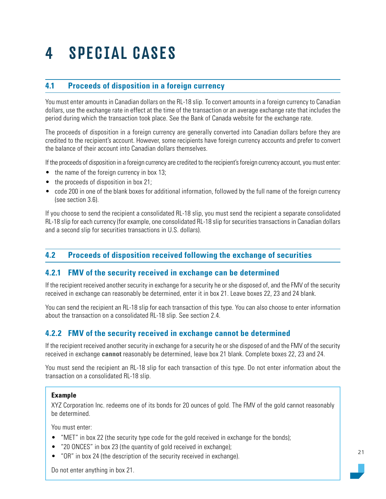## <span id="page-20-0"></span>4 SPECIAL CASES

## **4.1 Proceeds of disposition in a foreign currency**

You must enter amounts in Canadian dollars on the RL-18 slip. To convert amounts in a foreign currency to Canadian dollars, use the exchange rate in effect at the time of the transaction or an average exchange rate that includes the period during which the transaction took place. See the Bank of Canada website for the exchange rate.

The proceeds of disposition in a foreign currency are generally converted into Canadian dollars before they are credited to the recipient's account. However, some recipients have foreign currency accounts and prefer to convert the balance of their account into Canadian dollars themselves.

If the proceeds of disposition in a foreign currency are credited to the recipient's foreign currency account, you must enter:

- the name of the foreign currency in box 13;
- the proceeds of disposition in box 21;
- code 200 in one of the blank boxes for additional information, followed by the full name of the foreign currency (see section 3.6).

If you choose to send the recipient a consolidated RL-18 slip, you must send the recipient a separate consolidated RL-18 slip for each currency (for example, one consolidated RL-18 slip for securities transactions in Canadian dollars and a second slip for securities transactions in U.S. dollars).

## **4.2 Proceeds of disposition received following the exchange of securities**

## **4.2.1 FMV of the security received in exchange can be determined**

If the recipient received another security in exchange for a security he or she disposed of, and the FMV of the security received in exchange can reasonably be determined, enter it in box 21. Leave boxes 22, 23 and 24 blank.

You can send the recipient an RL-18 slip for each transaction of this type. You can also choose to enter information about the transaction on a consolidated RL-18 slip. See section 2.4.

## **4.2.2 FMV of the security received in exchange cannot be determined**

If the recipient received another security in exchange for a security he or she disposed of and the FMV of the security received in exchange **cannot** reasonably be determined, leave box 21 blank. Complete boxes 22, 23 and 24.

You must send the recipient an RL-18 slip for each transaction of this type. Do not enter information about the transaction on a consolidated RL-18 slip.

#### **Example**

XYZ Corporation Inc. redeems one of its bonds for 20 ounces of gold. The FMV of the gold cannot reasonably be determined.

You must enter:

- "MET" in box 22 (the security type code for the gold received in exchange for the bonds);
- "20 ONCES" in box 23 (the quantity of gold received in exchange);
- "OR" in box 24 (the description of the security received in exchange).

Do not enter anything in box 21.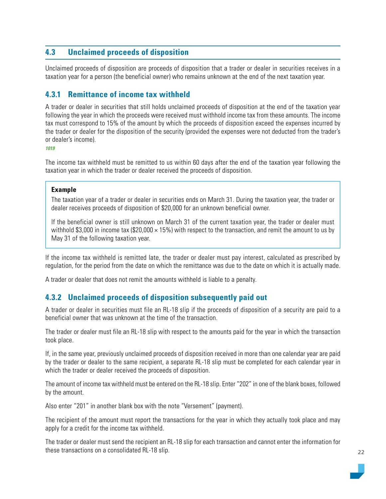## <span id="page-21-0"></span>**4.3 Unclaimed proceeds of disposition**

Unclaimed proceeds of disposition are proceeds of disposition that a trader or dealer in securities receives in a taxation year for a person (the beneficial owner) who remains unknown at the end of the next taxation year.

## **4.3.1 Remittance of income tax withheld**

A trader or dealer in securities that still holds unclaimed proceeds of disposition at the end of the taxation year following the year in which the proceeds were received must withhold income tax from these amounts. The income tax must correspond to 15% of the amount by which the proceeds of disposition exceed the expenses incurred by the trader or dealer for the disposition of the security (provided the expenses were not deducted from the trader's or dealer's income).

*1019*

The income tax withheld must be remitted to us within 60 days after the end of the taxation year following the taxation year in which the trader or dealer received the proceeds of disposition.

#### **Example**

The taxation year of a trader or dealer in securities ends on March 31. During the taxation year, the trader or dealer receives proceeds of disposition of \$20,000 for an unknown beneficial owner.

If the beneficial owner is still unknown on March 31 of the current taxation year, the trader or dealer must withhold \$3,000 in income tax (\$20,000  $\times$  15%) with respect to the transaction, and remit the amount to us by May 31 of the following taxation year.

If the income tax withheld is remitted late, the trader or dealer must pay interest, calculated as prescribed by regulation, for the period from the date on which the remittance was due to the date on which it is actually made.

A trader or dealer that does not remit the amounts withheld is liable to a penalty.

## **4.3.2 Unclaimed proceeds of disposition subsequently paid out**

A trader or dealer in securities must file an RL-18 slip if the proceeds of disposition of a security are paid to a beneficial owner that was unknown at the time of the transaction.

The trader or dealer must file an RL-18 slip with respect to the amounts paid for the year in which the transaction took place.

If, in the same year, previously unclaimed proceeds of disposition received in more than one calendar year are paid by the trader or dealer to the same recipient, a separate RL-18 slip must be completed for each calendar year in which the trader or dealer received the proceeds of disposition.

The amount of income tax withheld must be entered on the RL-18 slip. Enter "202" in one of the blank boxes, followed by the amount.

Also enter "201" in another blank box with the note "Versement" (payment).

The recipient of the amount must report the transactions for the year in which they actually took place and may apply for a credit for the income tax withheld.

The trader or dealer must send the recipient an RL-18 slip for each transaction and cannot enter the information for these transactions on a consolidated RL-18 slip.